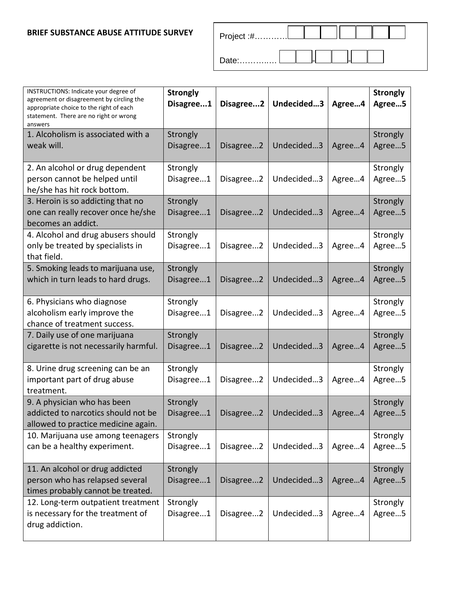## **BRIEF SUBSTANCE ABUSE ATTITUDE SURVEY**

| Date: |  |  |  |
|-------|--|--|--|

| INSTRUCTIONS: Indicate your degree of<br>agreement or disagreement by circling the<br>appropriate choice to the right of each<br>statement. There are no right or wrong<br>answers | <b>Strongly</b><br>Disagree1 | Disagree2 | Undecided3 | Agree4 | <b>Strongly</b><br>Agree5 |
|------------------------------------------------------------------------------------------------------------------------------------------------------------------------------------|------------------------------|-----------|------------|--------|---------------------------|
| 1. Alcoholism is associated with a<br>weak will.                                                                                                                                   | Strongly<br>Disagree1        | Disagree2 | Undecided3 | Agree4 | Strongly<br>Agree5        |
| 2. An alcohol or drug dependent<br>person cannot be helped until<br>he/she has hit rock bottom.                                                                                    | Strongly<br>Disagree1        | Disagree2 | Undecided3 | Agree4 | Strongly<br>Agree5        |
| 3. Heroin is so addicting that no<br>one can really recover once he/she<br>becomes an addict.                                                                                      | Strongly<br>Disagree1        | Disagree2 | Undecided3 | Agree4 | Strongly<br>Agree5        |
| 4. Alcohol and drug abusers should<br>only be treated by specialists in<br>that field.                                                                                             | Strongly<br>Disagree1        | Disagree2 | Undecided3 | Agree4 | Strongly<br>Agree5        |
| 5. Smoking leads to marijuana use,<br>which in turn leads to hard drugs.                                                                                                           | Strongly<br>Disagree1        | Disagree2 | Undecided3 | Agree4 | Strongly<br>Agree5        |
| 6. Physicians who diagnose<br>alcoholism early improve the<br>chance of treatment success.                                                                                         | Strongly<br>Disagree1        | Disagree2 | Undecided3 | Agree4 | Strongly<br>Agree5        |
| 7. Daily use of one marijuana<br>cigarette is not necessarily harmful.                                                                                                             | Strongly<br>Disagree1        | Disagree2 | Undecided3 | Agree4 | Strongly<br>Agree5        |
| 8. Urine drug screening can be an<br>important part of drug abuse<br>treatment.                                                                                                    | Strongly<br>Disagree1        | Disagree2 | Undecided3 | Agree4 | Strongly<br>Agree5        |
| 9. A physician who has been<br>addicted to narcotics should not be<br>allowed to practice medicine again.                                                                          | Strongly<br>Disagree1        | Disagree2 | Undecided3 | Agree4 | Strongly<br>Agree5        |
| 10. Marijuana use among teenagers<br>can be a healthy experiment.                                                                                                                  | Strongly<br>Disagree1        | Disagree2 | Undecided3 | Agree4 | Strongly<br>Agree5        |
| 11. An alcohol or drug addicted<br>person who has relapsed several<br>times probably cannot be treated.                                                                            | Strongly<br>Disagree1        | Disagree2 | Undecided3 | Agree4 | Strongly<br>Agree5        |
| 12. Long-term outpatient treatment<br>is necessary for the treatment of<br>drug addiction.                                                                                         | Strongly<br>Disagree1        | Disagree2 | Undecided3 | Agree4 | Strongly<br>Agree5        |